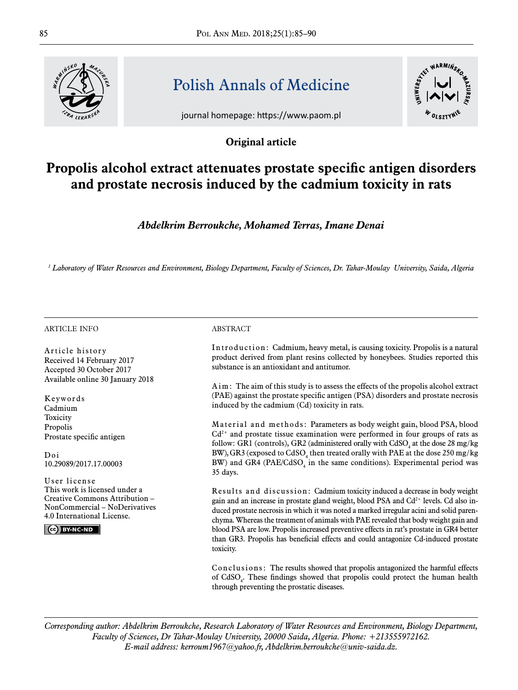

# Polish Annals of Medicine

journal homepage: https://www.paom.pl





## **Propolis alcohol extract attenuates prostate specific antigen disorders and prostate necrosis induced by the cadmium toxicity in rats**

*Abdelkrim Berroukche, Mohamed Terras, Imane Denai*

*1 Laboratory of Water Resources and Environment, Biology Department, Faculty of Sciences, Dr. Tahar-Moulay University, Saida, Algeria*

#### article info

Article history Received 14 February 2017 Accepted 30 October 2017 Available online 30 January 2018

Keywords Cadmium **Toxicity** Propolis Prostate specific antigen

Doi 10.29089/2017.17.00003

User license This work is licensed under a [Creative Commons Attribution –](https://creativecommons.org/licenses/by-nc-nd/4.0/legalcode) [NonCommercial – NoDerivatives](https://creativecommons.org/licenses/by-nc-nd/4.0/legalcode)  [4.0 International License.](https://creativecommons.org/licenses/by-nc-nd/4.0/legalcode)

CC BY-NC-ND

#### **ABSTRACT**

Introduction: Cadmium, heavy metal, is causing toxicity. Propolis is a natural product derived from plant resins collected by honeybees. Studies reported this substance is an antioxidant and antitumor.

Aim: The aim of this study is to assess the effects of the propolis alcohol extract (PAE) against the prostate specific antigen (PSA) disorders and prostate necrosis induced by the cadmium (Cd) toxicity in rats.

Material and methods: Parameters as body weight gain, blood PSA, blood Cd2+ and prostate tissue examination were performed in four groups of rats as follow: GR1 (controls), GR2 (administered orally with  $\mathrm{CdSO}_4$  at the dose 28 mg/kg BW), GR3 (exposed to  $C dSO_4$  then treated orally with PAE at the dose 250 mg/kg BW) and GR4 ( $PAE/CdSO<sub>4</sub>$  in the same conditions). Experimental period was 35 days.

Results and discussion: Cadmium toxicity induced a decrease in body weight gain and an increase in prostate gland weight, blood PSA and  $Cd<sup>2+</sup>$  levels. Cd also induced prostate necrosis in which it was noted a marked irregular acini and solid parenchyma. Whereas the treatment of animals with PAE revealed that body weight gain and blood PSA are low. Propolis increased preventive effects in rat's prostate in GR4 better than GR3. Propolis has beneficial effects and could antagonize Cd-induced prostate toxicity.

Conclusions: The results showed that propolis antagonized the harmful effects of  $CdSO<sub>4</sub>$ . These findings showed that propolis could protect the human health through preventing the prostatic diseases.

*Corresponding author: Abdelkrim Berroukche, Research Laboratory of Water Resources and Environment, Biology Department, Faculty of Sciences, Dr Tahar-Moulay University, 20000 Saida, Algeria. Phone: +213555972162. E-mail address: kerroum1967@yahoo.fr, Abdelkrim.berroukche@univ-saida.dz.*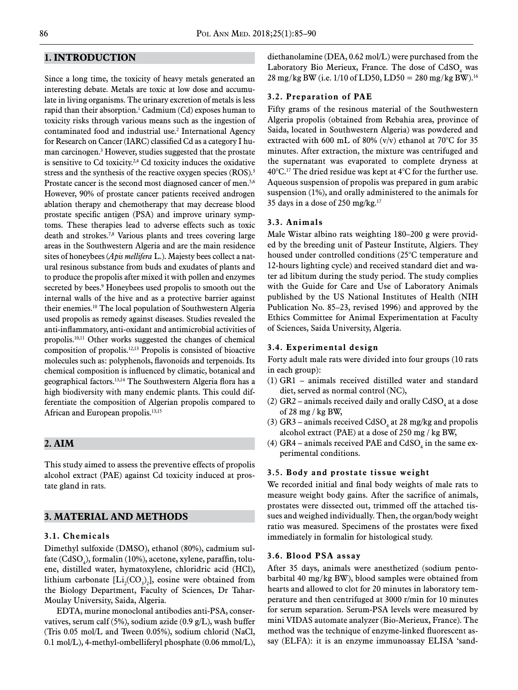## **1. Introduction**

Since a long time, the toxicity of heavy metals generated an interesting debate. Metals are toxic at low dose and accumulate in living organisms. The urinary excretion of metals is less rapid than their absorption.1 Cadmium (Cd) exposes human to toxicity risks through various means such as the ingestion of contaminated food and industrial use.2 International Agency for Research on Cancer (IARC) classified Cd as a category I human carcinogen.<sup>3</sup> However, studies suggested that the prostate is sensitive to Cd toxicity.2,4 Cd toxicity induces the oxidative stress and the synthesis of the reactive oxygen species (ROS).<sup>3</sup> Prostate cancer is the second most diagnosed cancer of men.<sup>5,6</sup> However, 90% of prostate cancer patients received androgen ablation therapy and chemotherapy that may decrease blood prostate specific antigen (PSA) and improve urinary symptoms. These therapies lead to adverse effects such as toxic death and strokes.7,8 Various plants and trees covering large areas in the Southwestern Algeria and are the main residence sites of honeybees (*Apis mellifera* L.). Majesty bees collect a natural resinous substance from buds and exudates of plants and to produce the propolis after mixed it with pollen and enzymes secreted by bees.<sup>9</sup> Honeybees used propolis to smooth out the internal walls of the hive and as a protective barrier against their enemies.10 The local population of Southwestern Algeria used propolis as remedy against diseases. Studies revealed the anti-inflammatory, anti-oxidant and antimicrobial activities of propolis.10,11 Other works suggested the changes of chemical composition of propolis.12,13 Propolis is consisted of bioactive molecules such as: polyphenols, flavonoids and terpenoids. Its chemical composition is influenced by climatic, botanical and geographical factors.13,14 The Southwestern Algeria flora has a high biodiversity with many endemic plants. This could differentiate the composition of Algerian propolis compared to African and European propolis.13,15

## **2. Aim**

This study aimed to assess the preventive effects of propolis alcohol extract (PAE) against Cd toxicity induced at prostate gland in rats.

## **3. Material and methods**

#### **3.1. Chemicals**

Dimethyl sulfoxide (DMSO), ethanol (80%), cadmium sulfate (CdSO $_{\!{}_4}$ ), formalin (10%), acetone, xylene, paraffin, toluene, distilled water, hymatoxylene, chloridric acid (HCl), lithium carbonate  $[Li_2(CO_3)_2]$ , eosine were obtained from the Biology Department, Faculty of Sciences, Dr Tahar-Moulay University, Saida, Algeria.

EDTA, murine monoclonal antibodies anti-PSA, conservatives, serum calf (5%), sodium azide (0.9 g/L), wash buffer (Tris 0.05 mol/L and Tween 0.05%), sodium chlorid (NaCl, 0.1 mol/L), 4-methyl-ombelliferyl phosphate (0.06 mmol/L), diethanolamine (DEA, 0.62 mol/L) were purchased from the Laboratory Bio Merieux, France. The dose of  $CdSO<sub>4</sub>$  was 28 mg/kg BW (i.e.  $1/10$  of LD50, LD50 = 280 mg/kg BW).<sup>16</sup>

#### **3.2. Preparation of PAE**

Fifty grams of the resinous material of the Southwestern Algeria propolis (obtained from Rebahia area, province of Saida, located in Southwestern Algeria) was powdered and extracted with 600 mL of 80% (v/v) ethanol at 70°C for 35 minutes. After extraction, the mixture was centrifuged and the supernatant was evaporated to complete dryness at  $40^{\circ}$ C.<sup>17</sup> The dried residue was kept at  $4^{\circ}$ C for the further use. Aqueous suspension of propolis was prepared in gum arabic suspension (1%), and orally administered to the animals for 35 days in a dose of 250 mg/kg.17

#### **3.3. Animals**

Male Wistar albino rats weighting 180–200 g were provided by the breeding unit of Pasteur Institute, Algiers. They housed under controlled conditions (25°C temperature and 12-hours lighting cycle) and received standard diet and water ad libitum during the study period. The study complies with the Guide for Care and Use of Laboratory Animals published by the US National Institutes of Health (NIH Publication No. 85–23, revised 1996) and approved by the Ethics Committee for Animal Experimentation at Faculty of Sciences, Saida University, Algeria.

### **3.4. Experimental design**

Forty adult male rats were divided into four groups (10 rats in each group):

- (1) GR1 animals received distilled water and standard diet, served as normal control (NC),
- (2)  $\text{GR2}-$  animals received daily and orally  $\text{CdSO}_4$  at a dose of 28 mg / kg BW,
- (3)  $GR3$  animals received  $CdSO<sub>4</sub>$  at 28 mg/kg and propolis alcohol extract (PAE) at a dose of 250 mg / kg BW,
- (4) GR4 animals received PAE and  $\mathrm{CdSO}_4$  in the same experimental conditions.

#### **3.5. Body and prostate tissue weight**

We recorded initial and final body weights of male rats to measure weight body gains. After the sacrifice of animals, prostates were dissected out, trimmed off the attached tissues and weighed individually. Then, the organ/body weight ratio was measured. Specimens of the prostates were fixed immediately in formalin for histological study.

#### **3.6. Blood PSA assay**

After 35 days, animals were anesthetized (sodium pentobarbital 40 mg/kg BW), blood samples were obtained from hearts and allowed to clot for 20 minutes in laboratory temperature and then centrifuged at 3000 r/min for 10 minutes for serum separation. Serum-PSA levels were measured by mini VIDAS automate analyzer (Bio-Merieux, France). The method was the technique of enzyme-linked fluorescent assay (ELFA): it is an enzyme immunoassay ELISA 'sand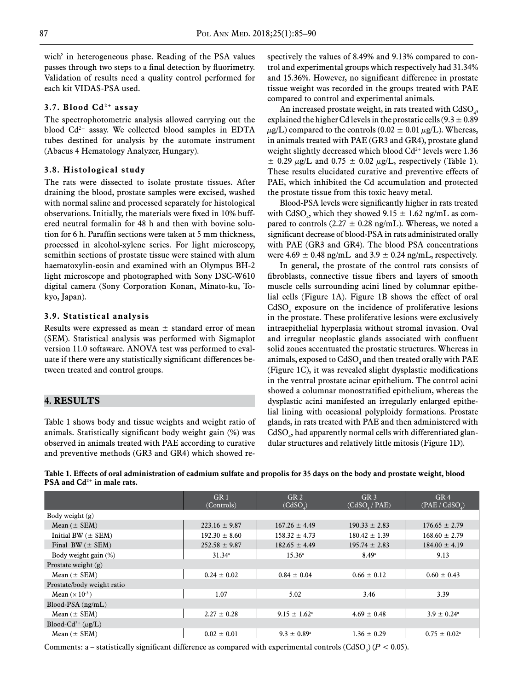wich' in heterogeneous phase. Reading of the PSA values passes through two steps to a final detection by fluorimetry. Validation of results need a quality control performed for each kit VIDAS-PSA used.

## **3.7. Blood Cd2+ assay**

The spectrophotometric analysis allowed carrying out the blood Cd2+ assay. We collected blood samples in EDTA tubes destined for analysis by the automate instrument (Abacus 4 Hematology Analyzer, Hungary).

#### **3.8. Histological study**

The rats were dissected to isolate prostate tissues. After draining the blood, prostate samples were excised, washed with normal saline and processed separately for histological observations. Initially, the materials were fixed in 10% buffered neutral formalin for 48 h and then with bovine solution for 6 h. Paraffin sections were taken at 5 mm thickness, processed in alcohol-xylene series. For light microscopy, semithin sections of prostate tissue were stained with alum haematoxylin-eosin and examined with an Olympus BH-2 light microscope and photographed with Sony DSC-W610 digital camera (Sony Corporation Konan, Minato-ku, Tokyo, Japan).

#### **3.9. Statistical analysis**

Results were expressed as mean  $\pm$  standard error of mean (SEM). Statistical analysis was performed with Sigmaplot version 11.0 softaware. ANOVA test was performed to evaluate if there were any statistically significant differences between treated and control groups.

## **4. Results**

Blood-Cd<sup>2+</sup> ( $\mu$ g/L)

Table 1 shows body and tissue weights and weight ratio of animals. Statistically significant body weight gain (%) was observed in animals treated with PAE according to curative and preventive methods (GR3 and GR4) which showed respectively the values of 8.49% and 9.13% compared to control and experimental groups which respectively had 31.34% and 15.36%. However, no significant difference in prostate tissue weight was recorded in the groups treated with PAE compared to control and experimental animals.

An increased prostate weight, in rats treated with  $\mathrm{CdSO}_{4}$ , explained the higher Cd levels in the prostatic cells  $(9.3 \pm 0.89)$  $\mu$ g/L) compared to the controls (0.02  $\pm$  0.01  $\mu$ g/L). Whereas, in animals treated with PAE (GR3 and GR4), prostate gland weight slightly decreased which blood  $Cd^{2+}$  levels were 1.36  $\pm$  0.29  $\mu$ g/L and 0.75  $\pm$  0.02  $\mu$ g/L, respectively (Table 1). These results elucidated curative and preventive effects of PAE, which inhibited the Cd accumulation and protected the prostate tissue from this toxic heavy metal.

Blood-PSA levels were significantly higher in rats treated with CdSO<sub>4</sub>, which they showed  $9.15 \pm 1.62$  ng/mL as compared to controls (2.27  $\pm$  0.28 ng/mL). Whereas, we noted a significant decrease of blood-PSA in rats administrated orally with PAE (GR3 and GR4). The blood PSA concentrations were  $4.69 \pm 0.48$  ng/mL and  $3.9 \pm 0.24$  ng/mL, respectively.

In general, the prostate of the control rats consists of fibroblasts, connective tissue fibers and layers of smooth muscle cells surrounding acini lined by columnar epithelial cells (Figure 1A). Figure 1B shows the effect of oral  $C dSO<sub>4</sub>$  exposure on the incidence of proliferative lesions in the prostate. These proliferative lesions were exclusively intraepithelial hyperplasia without stromal invasion. Oval and irregular neoplastic glands associated with confluent solid zones accentuated the prostatic structures. Whereas in animals, exposed to  $\rm CdSO_{4}$  and then treated orally with  $\rm PAE$ (Figure 1C), it was revealed slight dysplastic modifications in the ventral prostate acinar epithelium. The control acini showed a columnar monostratified epithelium, whereas the dysplastic acini manifested an irregularly enlarged epithelial lining with occasional polyploidy formations. Prostate glands, in rats treated with PAE and then administered with  $\mathrm{CdSO}_4$ , had apparently normal cells with differentiated glandular structures and relatively little mitosis (Figure 1D).

|                            | GR <sub>1</sub><br>(Controls) | GR2<br>(CdSO <sub>a</sub> ) | GR <sub>3</sub><br>(CdSO, / PAE) | GR <sub>4</sub><br>(PAE/CdSO) |
|----------------------------|-------------------------------|-----------------------------|----------------------------------|-------------------------------|
| Body weight $(g)$          |                               |                             |                                  |                               |
| Mean $(\pm$ SEM)           | $223.16 \pm 9.87$             | $167.26 \pm 4.49$           | $190.33 \pm 2.83$                | $176.65 \pm 2.79$             |
| Initial BW $(\pm$ SEM)     | $192.30 \pm 8.60$             | $158.32 \pm 4.73$           | $180.42 \pm 1.39$                | $168.60 \pm 2.79$             |
| Final BW $(\pm$ SEM)       | $252.58 \pm 9.87$             | $182.65 \pm 4.49$           | $195.74 \pm 2.83$                | $184.00 \pm 4.19$             |
| Body weight gain (%)       | 31.34a                        | 15.36 <sup>a</sup>          | 8.49a                            | 9.13                          |
| Prostate weight $(g)$      |                               |                             |                                  |                               |
| Mean $(\pm$ SEM)           | $0.24 \pm 0.02$               | $0.84 \pm 0.04$             | $0.66 \pm 0.12$                  | $0.60 \pm 0.43$               |
| Prostate/body weight ratio |                               |                             |                                  |                               |
| Mean $(\times 10^{-3})$    | 1.07                          | 5.02                        | 3.46                             | 3.39                          |
| $Blood-PSA(np/mL)$         |                               |                             |                                  |                               |
| Mean $(\pm$ SEM)           | $2.27 \pm 0.28$               | $9.15 \pm 1.62^{\circ}$     | $4.69 \pm 0.48$                  | $3.9 \pm 0.24^{\circ}$        |

Mean ( $\pm$  SEM)  $0.02 \pm 0.01$   $\pm$  0.02  $\pm$  0.01  $\pm$  0.89<sup>a</sup>  $\pm$  0.35  $\pm$  0.29  $\pm$  0.75  $\pm$  0.02<sup>a</sup>

**Table 1. Effects of oral administration of cadmium sulfate and propolis for 35 days on the body and prostate weight, blood PSA and Cd2+ in male rats.** 

Comments: a – statistically significant difference as compared with experimental controls  $(CdSO_4) (P < 0.05)$ .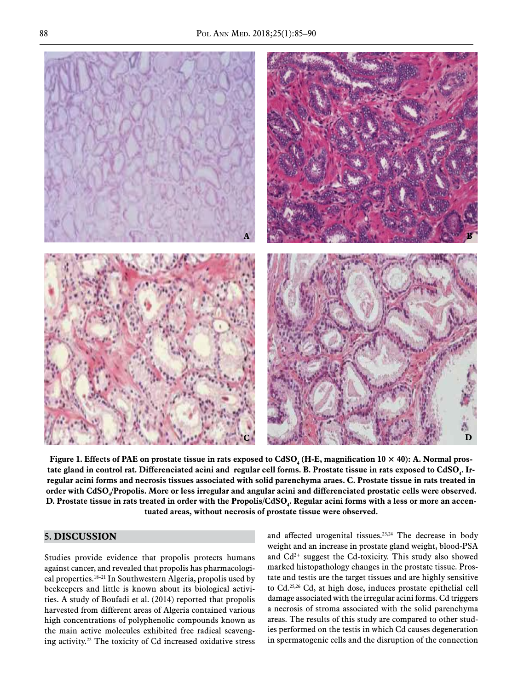

regular acini forms and necrosis tissues associated with solid parenchyma araes. C. Prostate tissue in rats treated in order with CdSO<sub>4</sub>/Propolis. More or less irregular and angular acini and differenciated prostatic cells were observed. D. Prostate tissue in rats treated in order with the Propolis/CdSO<sub>4</sub>. Regular acini forms with a less or more an accentuated angular acini and difference without necrosis of prostate tissue were observed. tuated areas, without necrosis of prostate tissue were observed. tate gland in control rat. Differenciated acini and regular cell forms. B. Prostate tissue in rats exposed to  $CdSO_4$ . In regular actin forms and necrosis issues associated with sond parenchyina aracs. C. I fostate ussue in fats treated in<br>order with CdSO<sub>4</sub>/Propolis. More or less irregular and angular acini and differenciated prostatic cells **D.** Prostate tissue in rats treated in order with the Propolis/CdSO<sub>4</sub>. Regular acini forms with a less or more an accentuated areas, without necrosis of prostate tissue were observed. Figure 1. Effects of PAE on prostate tissue in rats exposed to  $CdSO_4$  (H-E, magnification 10  $\times$  40): A. Normal pros-

#### **5. DISCUSSION C.**Micrographic slide of prostate tissue in rats treated in order with **CdSO4 / Propolis**. More or

Studies provide evidence that propolis protects humans studies provide evidence that propolis profects numalis<br>against cancer, and revealed that propolis has pharmacological properties.18–21 In Southwestern Algeria, propolis used by beekeepers and little is known about its biological activities. A study of Boufadi et al. (2014) reported that propolis harvested from different areas of Algeria contained various high concentrations of polyphenolic compounds known as the main active molecules exhibited free radical scavenging activity.22 The toxicity of Cd increased oxidative stress Studies provide evidence that propolis protects bum

**C.M. In the slide of prostate tissue in rate of prostate tissue in rate of prostate tissue in rate of prostate** 

and affected urogenital tissues.<sup>23,24</sup> The decrease in body weight and an increase in prostate gland weight, blood-PSA and  $Cd^{2+}$  suggest the Cd-toxicity. This study also showed model biotametheless changes in the processes tissue  $P_{\text{max}}$ ed that propolis has pharmacologi-<br>
<u>Figure 2.1</u> at 10 × 400 × 400 × 400 × 400 × 400 × 400 × 400 × 400 × 400 × 400 × 400 × 400 × 400 × 400 × 400 × 400 × 400 × 400 × 400 × 400 × 400 × 400 × 400 × 400 × 400 × 400 × 400 × 400 opons has pharmacologi-<br>Algeria, propolis used by tate and testis are the target tissues and are highly sensitive to Cd.25,26 Cd, at high dose, induces prostate epithelial cell damage associated with the irregular acini forms. Cd triggers a necrosis of stroma associated with the solid parenchyma If the compared to compounds known as areas. The results of this study are compared to other studies performed on the testis in which Cd causes degeneration in spermatogenic cells and the disruption of the connection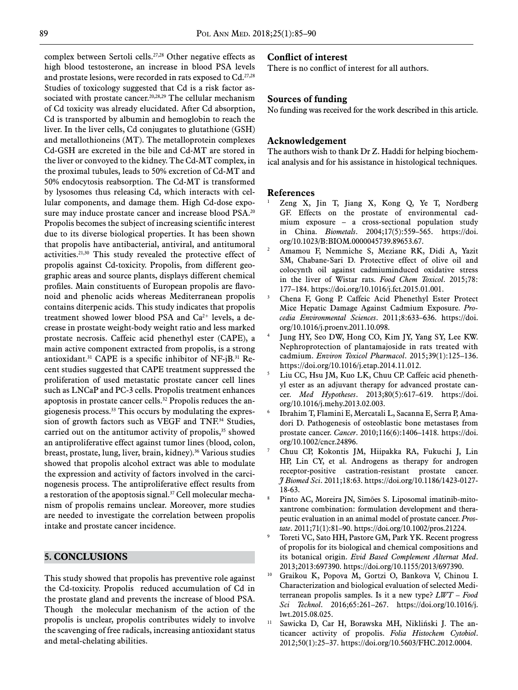complex between Sertoli cells.27,28 Other negative effects as high blood testosterone, an increase in blood PSA levels and prostate lesions, were recorded in rats exposed to Cd.<sup>27,28</sup> Studies of toxicology suggested that Cd is a risk factor associated with prostate cancer.<sup>20,28,29</sup> The cellular mechanism of Cd toxicity was already elucidated. After Cd absorption, Cd is transported by albumin and hemoglobin to reach the liver. In the liver cells, Cd conjugates to glutathione (GSH) and metallothioneins (MT). The metalloprotein complexes Cd-GSH are excreted in the bile and Cd-MT are stored in the liver or convoyed to the kidney. The Cd-MT complex, in the proximal tubules, leads to 50% excretion of Cd-MT and 50% endocytosis reabsorption. The Cd-MT is transformed by lysosomes thus releasing Cd, which interacts with cellular components, and damage them. High Cd-dose exposure may induce prostate cancer and increase blood PSA.<sup>20</sup> Propolis becomes the subject of increasing scientific interest due to its diverse biological properties. It has been shown that propolis have antibacterial, antiviral, and antitumoral activities.21,30 This study revealed the protective effect of propolis against Cd-toxicity. Propolis, from different geographic areas and source plants, displays different chemical profiles. Main constituents of European propolis are flavonoid and phenolic acids whereas Mediterranean propolis contains diterpenic acids. This study indicates that propolis treatment showed lower blood PSA and  $Ca^{2+}$  levels, a decrease in prostate weight-body weight ratio and less marked prostate necrosis. Caffeic acid phenethyl ester (CAPE), a main active component extracted from propolis, is a strong antioxidant.<sup>31</sup> CAPE is a specific inhibitor of NF-jB.<sup>31</sup> Recent studies suggested that CAPE treatment suppressed the proliferation of used metastatic prostate cancer cell lines such as LNCaP and PC-3 cells. Propolis treatment enhances apoptosis in prostate cancer cells.<sup>32</sup> Propolis reduces the angiogenesis process.33 This occurs by modulating the expression of growth factors such as VEGF and TNF.<sup>34</sup> Studies, carried out on the antitumor activity of propolis,<sup>35</sup> showed an antiproliferative effect against tumor lines (blood, colon, breast, prostate, lung, liver, brain, kidney).36 Various studies showed that propolis alcohol extract was able to modulate the expression and activity of factors involved in the carcinogenesis process. The antiproliferative effect results from a restoration of the apoptosis signal.<sup>37</sup> Cell molecular mechanism of propolis remains unclear. Moreover, more studies are needed to investigate the correlation between propolis intake and prostate cancer incidence.

## **5. ConclusionS**

This study showed that propolis has preventive role against the Cd-toxicity. Propolis reduced accumulation of Cd in the prostate gland and prevents the increase of blood PSA. Though the molecular mechanism of the action of the propolis is unclear, propolis contributes widely to involve the scavenging of free radicals, increasing antioxidant status and metal-chelating abilities.

#### **Conflict of interest**

There is no conflict of interest for all authors.

## **Sources of funding**

No funding was received for the work described in this article.

#### **Acknowledgement**

The authors wish to thank Dr Z. Haddi for helping biochemical analysis and for his assistance in histological techniques.

#### **References**

- <sup>1</sup> [Zeng X, Jin T, Jiang X, Kong Q, Ye T, Nordberg](https://doi.org/10.1023/B:BIOM.0000045739.89653.67)  [GF. Effects on the prostate of environmental cad](https://doi.org/10.1023/B:BIOM.0000045739.89653.67)[mium exposure – a cross-sectional population study](https://doi.org/10.1023/B:BIOM.0000045739.89653.67)  in China. *Biometals*[. 2004;17\(5\):559–565.](https://doi.org/10.1023/B:BIOM.0000045739.89653.67) https://doi. org/10.1023/B:BIOM.0000045739.89653.67.
- <sup>2</sup> [Amamou F, Nemmiche S, Meziane RK, Didi A, Yazit](https://doi.org/10.1016/j.fct.2015.01.001)  [SM, Chabane-Sari D. Protective effect of olive oil and](https://doi.org/10.1016/j.fct.2015.01.001)  [colocynth oil against cadmiuminduced oxidative stress](https://doi.org/10.1016/j.fct.2015.01.001)  [in the liver of Wistar rats.](https://doi.org/10.1016/j.fct.2015.01.001) *Food Chem Toxicol*. 2015;78: [177–184](https://doi.org/10.1016/j.fct.2015.01.001). https://doi.org/10.1016/j.fct.2015.01.001.
- <sup>3</sup> [Chena F, Gong P. Caffeic Acid Phenethyl Ester Protect](https://doi.org/10.1016/j.proenv.2011.10.098)  [Mice Hepatic Damage Against Cadmium Exposure.](https://doi.org/10.1016/j.proenv.2011.10.098) *Pro[cedia Environmental Sciences](https://doi.org/10.1016/j.proenv.2011.10.098)*. 2011;8:633–636. https://doi. org/10.1016/j.proenv.2011.10.098.
- Jung HY, Seo DW, Hong CO, Kim JY, Yang SY, Lee KW. [Nephroprotection of plantamajoside in rats treated with](https://doi.org/10.1016/j.etap.2014.11.012)  cadmium. *[Environ Toxicol Pharmacol](https://doi.org/10.1016/j.etap.2014.11.012)*. 2015;39(1):125–136. https://doi.org/10.1016/j.etap.2014.11.012.
- [Liu CC, Hsu JM, Kuo LK, Chuu CP. Caffeic acid pheneth](https://doi.org/10.1016/j.mehy.2013.02.003)[yl ester as an adjuvant therapy for advanced prostate can](https://doi.org/10.1016/j.mehy.2013.02.003)cer. *Med Hypotheses*[. 2013;80\(5\):617–619.](https://doi.org/10.1016/j.mehy.2013.02.003) https://doi. org/10.1016/j.mehy.2013.02.003.
- <sup>6</sup> [Ibrahim T, Flamini E, Mercatali L, Sacanna E, Serra P, Ama](https://doi.org/10.1002/cncr.24896)[dori D. Pathogenesis of osteoblastic bone metastases from](https://doi.org/10.1002/cncr.24896)  prostate cancer. *Cancer*[. 2010;116\(6\):1406–1418.](https://doi.org/10.1002/cncr.24896) https://doi. org/10.1002/cncr.24896.
- <sup>7</sup> [Chuu CP, Kokontis JM, Hiipakka RA, Fukuchi J, Lin](https://doi.org/10.1186/1423-0127-18-63)  [HP, Lin CY, et al. Androgens as therapy for androgen](https://doi.org/10.1186/1423-0127-18-63)  [receptor-positive castration-resistant prostate cancer.](https://doi.org/10.1186/1423-0127-18-63)  *[J Biomed Sci](https://doi.org/10.1186/1423-0127-18-63)*. 2011;18:63. https://doi.org/10.1186/1423-0127- 18-63.
- <sup>8</sup> [Pinto AC, Moreira JN, Simões S. Liposomal imatinib-mito](https://doi.org/10.1002/pros.21224)[xantrone combination: formulation development and thera](https://doi.org/10.1002/pros.21224)[peutic evaluation in an animal model of prostate cancer.](https://doi.org/10.1002/pros.21224) *Prostate*[. 2011;71\(1\):81–90.](https://doi.org/10.1002/pros.21224) https://doi.org/10.1002/pros.21224.
- Toreti VC, Sato HH, Pastore GM, Park YK. Recent progress [of propolis for its biological and chemical compositions and](https://doi.org/10.1155/2013/697390)  its botanical origin. *[Evid Based Complement Alternat Med](https://doi.org/10.1155/2013/697390)*. [2013;2013:697390.](https://doi.org/10.1155/2013/697390) https://doi.org/10.1155/2013/697390.
- <sup>10</sup> [Graikou K, Popova M, Gortzi O, Bankova V, Chinou I.](https://doi.org/10.1016/j.lwt.2015.08.025)  [Characterization and biological evaluation of selected Medi](https://doi.org/10.1016/j.lwt.2015.08.025)[terranean propolis samples. Is it a new type?](https://doi.org/10.1016/j.lwt.2015.08.025) *LWT – Food Sci Technol*[. 2016;65:261–267.](https://doi.org/10.1016/j.lwt.2015.08.025) https://doi.org/10.1016/j. lwt.2015.08.025.
- <sup>11</sup> [Sawicka D, Car H, Borawska MH, Nikliński J. The an](https://doi.org/10.5603/FHC.2012.0004)[ticancer activity of propolis.](https://doi.org/10.5603/FHC.2012.0004) *Folia Histochem Cytobiol*. [2012;50\(1\):25–37.](https://doi.org/10.5603/FHC.2012.0004) https://doi.org/10.5603/FHC.2012.0004.